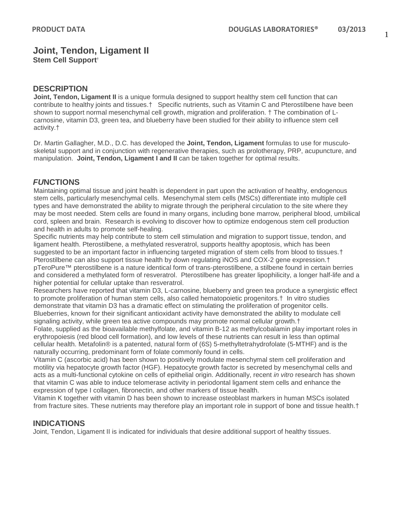# **Joint, Tendon, Ligament II**

**Stem Cell Support†**

### **DESCRIPTION**

**Joint, Tendon, Ligament II** is a unique formula designed to support healthy stem cell function that can contribute to healthy joints and tissues.† Specific nutrients, such as Vitamin C and Pterostilbene have been shown to support normal mesenchymal cell growth, migration and proliferation. † The combination of Lcarnosine, vitamin D3, green tea, and blueberry have been studied for their ability to influence stem cell activity.†

Dr. Martin Gallagher, M.D., D.C. has developed the **Joint, Tendon, Ligament** formulas to use for musculoskeletal support and in conjunction with regenerative therapies, such as prolotherapy, PRP, acupuncture, and manipulation. **Joint, Tendon, Ligament I and II** can be taken together for optimal results.

### *FU***NCTIONS**

Maintaining optimal tissue and joint health is dependent in part upon the activation of healthy, endogenous stem cells, particularly mesenchymal cells. Mesenchymal stem cells (MSCs) differentiate into multiple cell types and have demonstrated the ability to migrate through the peripheral circulation to the site where they may be most needed. Stem cells are found in many organs, including bone marrow, peripheral blood, umbilical cord, spleen and brain. Research is evolving to discover how to optimize endogenous stem cell production and health in adults to promote self-healing.

Specific nutrients may help contribute to stem cell stimulation and migration to support tissue, tendon, and ligament health. Pterostilbene, a methylated resveratrol, supports healthy apoptosis, which has been suggested to be an important factor in influencing targeted migration of stem cells from blood to tissues.† Pterostilbene can also support tissue health by down regulating iNOS and COX-2 gene expression.† pTeroPure™ pterostilbene is a nature identical form of trans-pterostilbene, a stilbene found in certain berries and considered a methylated form of resveratrol. Pterostilbene has greater lipophilicity, a longer half-life and a higher potential for cellular uptake than resveratrol.

Researchers have reported that vitamin D3, L-carnosine, blueberry and green tea produce a synergistic effect to promote proliferation of human stem cells, also called hematopoietic progenitors.† In vitro studies demonstrate that vitamin D3 has a dramatic effect on stimulating the proliferation of progenitor cells. Blueberries, known for their significant antioxidant activity have demonstrated the ability to modulate cell

signaling activity, while green tea active compounds may promote normal cellular growth.† Folate, supplied as the bioavailable methylfolate, and vitamin B-12 as methylcobalamin play important roles in erythropoiesis (red blood cell formation), and low levels of these nutrients can result in less than optimal cellular health. Metafolin® is a patented, natural form of (6S) 5-methyltetrahydrofolate (5-MTHF) and is the naturally occurring, predominant form of folate commonly found in cells.

Vitamin C (ascorbic acid) has been shown to positively modulate mesenchymal stem cell proliferation and motility via hepatocyte growth factor (HGF). Hepatocyte growth factor is secreted by mesenchymal cells and acts as a multi-functional cytokine on cells of epithelial origin. Additionally, recent *in vitro* research has shown that vitamin C was able to induce telomerase activity in periodontal ligament stem cells and enhance the expression of type I collagen, fibronectin, and other markers of tissue health.

Vitamin K together with vitamin D has been shown to increase osteoblast markers in human MSCs isolated from fracture sites. These nutrients may therefore play an important role in support of bone and tissue health.†

#### **INDICATIONS**

Joint, Tendon, Ligament II is indicated for individuals that desire additional support of healthy tissues.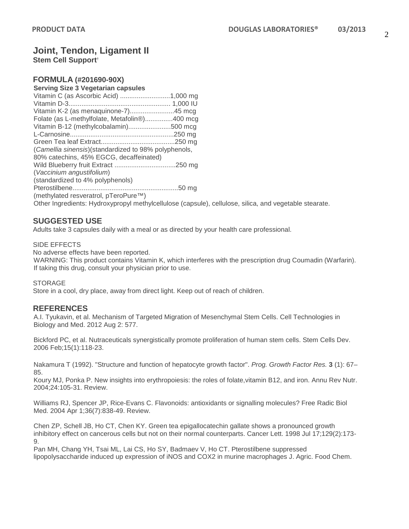and vegetable stearate.

# **Joint, Tendon, Ligament II**

**Stem Cell Support†**

## **FORMULA (#201690-90X)**

#### **Serving Size 3 Vegetarian capsules**

| Folate (as L-methylfolate, Metafolin <sup>®</sup> )400 mcg                     |  |
|--------------------------------------------------------------------------------|--|
| Vitamin B-12 (methylcobalamin)500 mcg                                          |  |
|                                                                                |  |
|                                                                                |  |
| (Camellia sinensis) (standardized to 98% polyphenols,                          |  |
| 80% catechins, 45% EGCG, decaffeinated)                                        |  |
|                                                                                |  |
| (Vaccinium angustifolium)                                                      |  |
| (standardized to 4% polyphenols)                                               |  |
|                                                                                |  |
| (methylated resveratrol, pTeroPure™)                                           |  |
| Other Ingredients: Hydroxypropyl methylcellulose (capsule), cellulose, silica, |  |

#### **SUGGESTED USE**

Adults take 3 capsules daily with a meal or as directed by your health care professional.

#### SIDE EFFECTS

No adverse effects have been reported.

WARNING: This product contains Vitamin K, which interferes with the prescription drug Coumadin (Warfarin). If taking this drug, consult your physician prior to use.

#### **STORAGE**

Store in a cool, dry place, away from direct light. Keep out of reach of children.

#### **REFERENCES**

A.I. Tyukavin, et al. Mechanism of Targeted Migration of Mesenchymal Stem Cells. Cell Technologies in Biology and Med. 2012 Aug 2: 577.

Bickford PC, et al. Nutraceuticals synergistically promote proliferation of human stem cells. Stem Cells Dev. 2006 Feb;15(1):118-23.

Nakamura T (1992). "Structure and function of hepatocyte growth factor". *Prog. Growth Factor Res.* **3** (1): 67– 85.

Koury MJ, Ponka P. New insights into erythropoiesis: the roles of folate,vitamin B12, and iron. Annu Rev Nutr. 2004;24:105-31. Review.

Williams RJ, Spencer JP, Rice-Evans C. Flavonoids: antioxidants or signalling molecules? Free Radic Biol Med. 2004 Apr 1;36(7):838-49. Review.

Chen ZP, Schell JB, Ho CT, Chen KY. Green tea epigallocatechin gallate shows a pronounced growth inhibitory effect on cancerous cells but not on their normal counterparts. Cancer Lett. 1998 Jul 17;129(2):173- 9.

Pan MH, Chang YH, Tsai ML, Lai CS, Ho SY, Badmaev V, Ho CT. Pterostilbene suppressed lipopolysaccharide induced up expression of iNOS and COX2 in murine macrophages J. Agric. Food Chem.